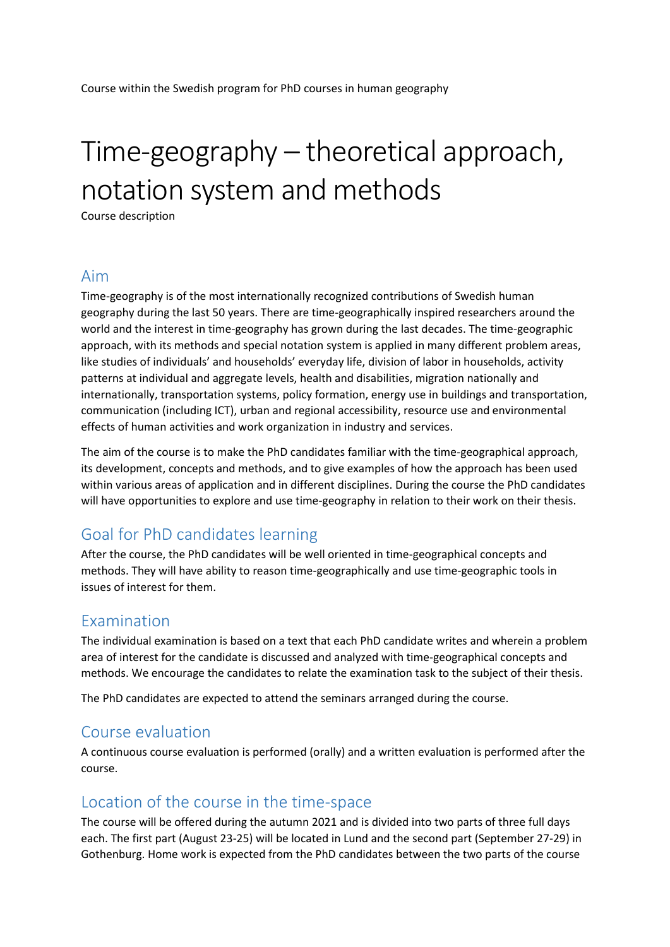# Time-geography – theoretical approach, notation system and methods

Course description

### Aim

Time-geography is of the most internationally recognized contributions of Swedish human geography during the last 50 years. There are time-geographically inspired researchers around the world and the interest in time-geography has grown during the last decades. The time-geographic approach, with its methods and special notation system is applied in many different problem areas, like studies of individuals' and households' everyday life, division of labor in households, activity patterns at individual and aggregate levels, health and disabilities, migration nationally and internationally, transportation systems, policy formation, energy use in buildings and transportation, communication (including ICT), urban and regional accessibility, resource use and environmental effects of human activities and work organization in industry and services.

The aim of the course is to make the PhD candidates familiar with the time-geographical approach, its development, concepts and methods, and to give examples of how the approach has been used within various areas of application and in different disciplines. During the course the PhD candidates will have opportunities to explore and use time-geography in relation to their work on their thesis.

## Goal for PhD candidates learning

After the course, the PhD candidates will be well oriented in time-geographical concepts and methods. They will have ability to reason time-geographically and use time-geographic tools in issues of interest for them.

## Examination

The individual examination is based on a text that each PhD candidate writes and wherein a problem area of interest for the candidate is discussed and analyzed with time-geographical concepts and methods. We encourage the candidates to relate the examination task to the subject of their thesis.

The PhD candidates are expected to attend the seminars arranged during the course.

#### Course evaluation

A continuous course evaluation is performed (orally) and a written evaluation is performed after the course.

## Location of the course in the time-space

The course will be offered during the autumn 2021 and is divided into two parts of three full days each. The first part (August 23-25) will be located in Lund and the second part (September 27-29) in Gothenburg. Home work is expected from the PhD candidates between the two parts of the course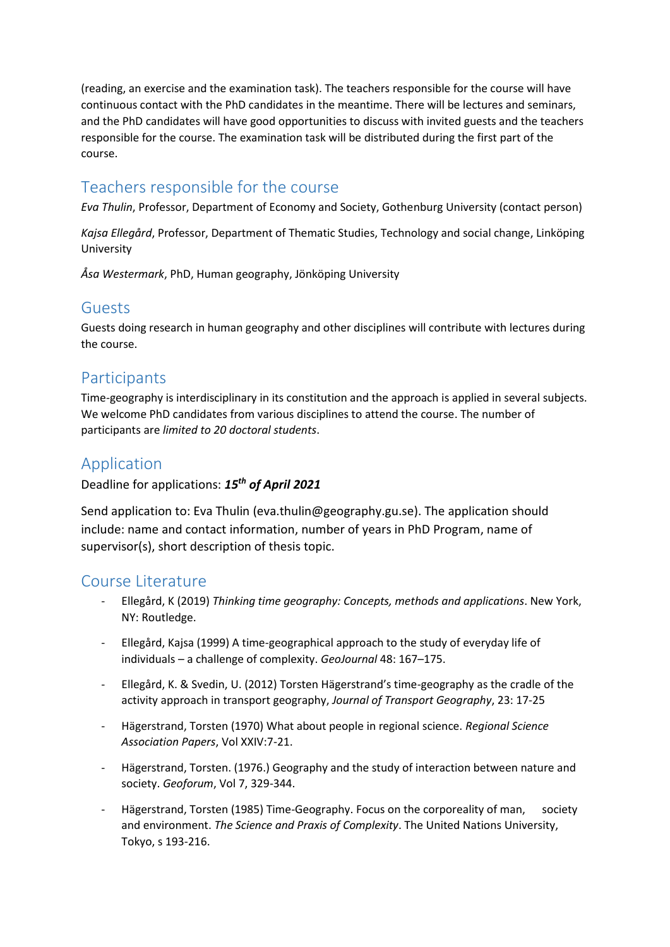(reading, an exercise and the examination task). The teachers responsible for the course will have continuous contact with the PhD candidates in the meantime. There will be lectures and seminars, and the PhD candidates will have good opportunities to discuss with invited guests and the teachers responsible for the course. The examination task will be distributed during the first part of the course.

# Teachers responsible for the course

*Eva Thulin*, Professor, Department of Economy and Society, Gothenburg University (contact person)

*Kajsa Ellegård*, Professor, Department of Thematic Studies, Technology and social change, Linköping University

*Åsa Westermark*, PhD, Human geography, Jönköping University

## Guests

Guests doing research in human geography and other disciplines will contribute with lectures during the course.

## **Participants**

Time-geography is interdisciplinary in its constitution and the approach is applied in several subjects. We welcome PhD candidates from various disciplines to attend the course. The number of participants are *limited to 20 doctoral students*.

# Application

Deadline for applications: *15 th of April 2021*

Send application to: Eva Thulin (eva.thulin@geography.gu.se). The application should include: name and contact information, number of years in PhD Program, name of supervisor(s), short description of thesis topic.

## Course Literature

- Ellegård, K (2019) *Thinking time geography: Concepts, methods and applications*. New York, NY: Routledge.
- Ellegård, Kajsa (1999) A time-geographical approach to the study of everyday life of individuals – a challenge of complexity. *GeoJournal* 48: 167–175.
- Ellegård, K. & Svedin, U. (2012) Torsten Hägerstrand's time-geography as the cradle of the activity approach in transport geography, *Journal of Transport Geography*, 23: 17-25
- Hägerstrand, Torsten (1970) What about people in regional science. *Regional Science Association Papers*, Vol XXIV:7-21.
- Hägerstrand, Torsten. (1976.) Geography and the study of interaction between nature and society. *Geoforum*, Vol 7, 329-344.
- Hägerstrand, Torsten (1985) Time-Geography. Focus on the corporeality of man, society and environment. *The Science and Praxis of Complexity*. The United Nations University, Tokyo, s 193-216.